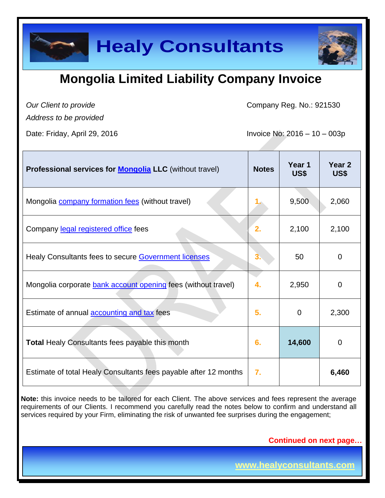

## **Mongolia Limited Liability Company Invoice**

*Our Client to provide* 

Company Reg. No.: 921530

*Address to be provided*

Date: Friday, April 29, 2016 **Invoice No: 2016** - 10 – 003p

| Professional services for <b>Mongolia</b> LLC (without travel)   | <b>Notes</b> | Year 1<br>US\$ | Year <sub>2</sub><br>US\$ |
|------------------------------------------------------------------|--------------|----------------|---------------------------|
| Mongolia <b>company</b> formation fees (without travel)          |              | 9,500          | 2,060                     |
| Company legal registered office fees                             | 2.           | 2,100          | 2,100                     |
| Healy Consultants fees to secure Government licenses             |              | 50             | $\overline{0}$            |
| Mongolia corporate bank account opening fees (without travel)    | 4.           | 2,950          | $\overline{0}$            |
| Estimate of annual accounting and tax fees                       | 5.           | $\mathbf 0$    | 2,300                     |
| <b>Total Healy Consultants fees payable this month</b>           | 6.           | 14,600         | $\overline{0}$            |
| Estimate of total Healy Consultants fees payable after 12 months | 7.           |                | 6,460                     |

**Note:** this invoice needs to be tailored for each Client. The above services and fees represent the average requirements of our Clients. I recommend you carefully read the notes below to confirm and understand all services required by your Firm, eliminating the risk of unwanted fee surprises during the engagement;

**Continued on next page…**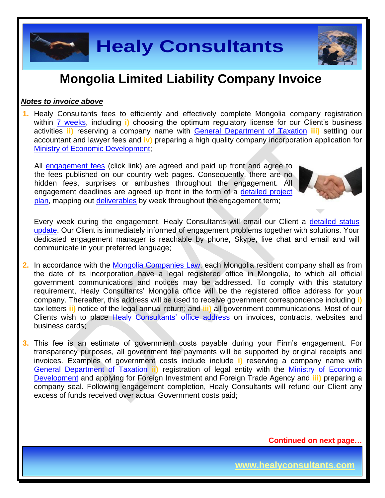

## **Mongolia Limited Liability Company Invoice**

#### *Notes to invoice above*

**1.** Healy Consultants fees to efficiently and effectively complete Mongolia company registration within [7 weeks,](http://www.healyconsultants.com/mongolia-company-registration/fees-timelines/#timelines) including i) choosing the optimum regulatory license for our Client's business activities **ii)** reserving a company name with [General Department of Taxation](http://en.mta.mn/) **iii)** settling our accountant and lawyer fees and **iv)** preparing a high quality company incorporation application for [Ministry of Economic Development;](http://investmongolia.com/en/)

All [engagement fees](http://www.healyconsultants.com/company-registration-fees/) (click link) are agreed and paid up front and agree to the fees published on our country web pages. Consequently, there are no hidden fees, surprises or ambushes throughout the engagement. All engagement deadlines are agreed up front in the form of a [detailed project](http://www.healyconsultants.com/index-important-links/example-project-plan/)  [plan,](http://www.healyconsultants.com/index-important-links/example-project-plan/) mapping out [deliverables](http://www.healyconsultants.com/deliverables-to-our-clients/) by week throughout the engagement term;



Every week during the engagement, Healy Consultants will email our Client a [detailed status](http://www.healyconsultants.com/index-important-links/weekly-engagement-status-email/)  [update.](http://www.healyconsultants.com/index-important-links/weekly-engagement-status-email/) Our Client is immediately informed of engagement problems together with solutions. Your dedicated engagement manager is reachable by phone, Skype, live chat and email and will communicate in your preferred language;

**2.** In accordance with the Mongolia [Companies Law,](file:///C:/Users/Aidan%20Healy/Downloads/MNG57599.pdf) each Mongolia resident company shall as from the date of its incorporation have a legal registered office in Mongolia, to which all official government communications and notices may be addressed. To comply with this statutory requirement, Healy Consultants' Mongolia office will be the registered office address for your company. Thereafter, this address will be used to receive government correspondence including **i)** tax letters **ii)** notice of the legal annual return; and **iii)** all government communications. Most of our Clients wish to place [Healy Consultants'](http://www.healyconsultants.com/corporate-outsourcing-services/company-secretary-and-legal-registered-office/) office address on invoices, contracts, websites and business cards;

**3.** This fee is an estimate of government costs payable during your Firm's engagement. For transparency purposes, all government fee payments will be supported by original receipts and invoices. Examples of government costs include include **i)** reserving a company name with [General Department of Taxation](http://en.mta.mn/) **ii)** registration of legal entity with the [Ministry of Economic](http://investmongolia.com/en/)  [Development](http://investmongolia.com/en/) and applying for Foreign Investment and Foreign Trade Agency and **iii)** preparing a company seal. Following engagement completion, Healy Consultants will refund our Client any excess of funds received over actual Government costs paid;

**Continued on next page…**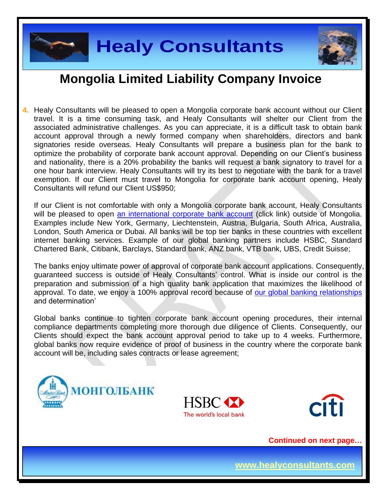

## **Mongolia Limited Liability Company Invoice**

**4.** Healy Consultants will be pleased to open a Mongolia corporate bank account without our Client travel. It is a time consuming task, and Healy Consultants will shelter our Client from the associated administrative challenges. As you can appreciate, it is a difficult task to obtain bank account approval through a newly formed company when shareholders, directors and bank signatories reside overseas. Healy Consultants will prepare a business plan for the bank to optimize the probability of corporate bank account approval. Depending on our Client's business and nationality, there is a 20% probability the banks will request a bank signatory to travel for a one hour bank interview. Healy Consultants will try its best to negotiate with the bank for a travel exemption. If our Client must travel to Mongolia for corporate bank account opening, Healy Consultants will refund our Client US\$950;

If our Client is not comfortable with only a Mongolia corporate bank account, Healy Consultants will be pleased to open [an international corporate bank account](http://www.healyconsultants.com/international-banking/) (click link) outside of Mongolia. Examples include New York, Germany, Liechtenstein, Austria, Bulgaria, South Africa, Australia, London, South America or Dubai. All banks will be top tier banks in these countries with excellent internet banking services. Example of our global banking partners include HSBC, Standard Chartered Bank, Citibank, Barclays, Standard bank, ANZ bank, VTB bank, UBS, Credit Suisse;

The banks enjoy ultimate power of approval of corporate bank account applications. Consequently, guaranteed success is outside of Healy Consultants' control. What is inside our control is the preparation and submission of a high quality bank application that maximizes the likelihood of approval. To date, we enjoy a 100% approval record because of [our global banking relationships](http://www.healyconsultants.com/international-banking/corporate-accounts/) and determination'

Global banks continue to tighten corporate bank account opening procedures, their internal compliance departments completing more thorough due diligence of Clients. Consequently, our Clients should expect the bank account approval period to take up to 4 weeks. Furthermore, global banks now require evidence of proof of business in the country where the corporate bank account will be, including sales contracts or lease agreement;







**Continued on next page…**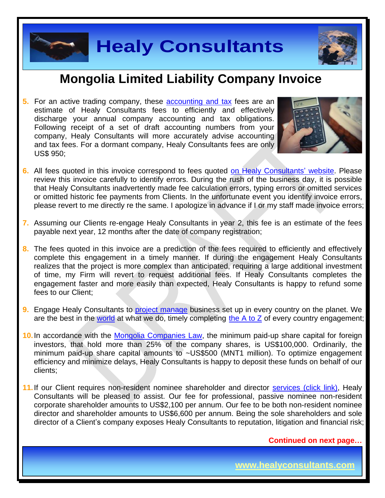



### **Mongolia Limited Liability Company Invoice**

**5.** For an active trading company, these [accounting and tax](http://www.healyconsultants.com/mongolia-company-registration/accounting-legal/) fees are an estimate of Healy Consultants fees to efficiently and effectively discharge your annual company accounting and tax obligations. Following receipt of a set of draft accounting numbers from your company, Healy Consultants will more accurately advise accounting and tax fees. For a dormant company, Healy Consultants fees are only US\$ 950;



- **6.** All fees quoted in this invoice correspond to fees quoted [on Healy Consultants' website.](http://www.healyconsultants.com/company-registration-fees/) Please review this invoice carefully to identify errors. During the rush of the business day, it is possible that Healy Consultants inadvertently made fee calculation errors, typing errors or omitted services or omitted historic fee payments from Clients. In the unfortunate event you identify invoice errors, please revert to me directly re the same. I apologize in advance if I or my staff made invoice errors;
- **7.** Assuming our Clients re-engage Healy Consultants in year 2, this fee is an estimate of the fees payable next year, 12 months after the date of company registration;
- **8.** The fees quoted in this invoice are a prediction of the fees required to efficiently and effectively complete this engagement in a timely manner. If during the engagement Healy Consultants realizes that the project is more complex than anticipated, requiring a large additional investment of time, my Firm will revert to request additional fees. If Healy Consultants completes the engagement faster and more easily than expected, Healy Consultants is happy to refund some fees to our Client;
- **9.** Engage Healy Consultants to [project manage](http://www.healyconsultants.com/project-manage-engagements/) business set up in every country on the planet. We are the best in the [world](http://www.healyconsultants.com/best-in-the-world/) at what we do, timely completing the  $A$  to  $Z$  of every country engagement;
- **10.**In accordance with the [Mongolia Companies Law,](file:///C:/Users/Aidan%20Healy/Downloads/MNG57599.pdf) the minimum paid-up share capital for foreign investors, that hold more than 25% of the company shares, is US\$100,000. Ordinarily, the minimum paid-up share capital amounts to ~US\$500 (MNT1 million). To optimize engagement efficiency and minimize delays, Healy Consultants is happy to deposit these funds on behalf of our clients;
- 11. If our Client requires non-resident nominee shareholder and director services [\(click link\),](http://www.healyconsultants.com/corporate-outsourcing-services/nominee-shareholders-directors/) Healy Consultants will be pleased to assist. Our fee for professional, passive nominee non-resident corporate shareholder amounts to US\$2,100 per annum. Our fee to be both non-resident nominee director and shareholder amounts to US\$6,600 per annum. Being the sole shareholders and sole director of a Client's company exposes Healy Consultants to reputation, litigation and financial risk;

**Continued on next page…**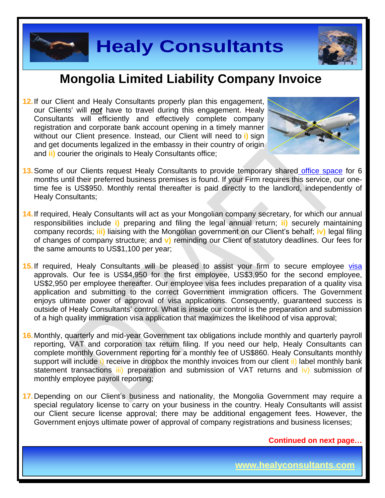



### **Mongolia Limited Liability Company Invoice**

**12.** If our Client and Healy Consultants properly plan this engagement, our Clients' will *not* have to travel during this engagement. Healy Consultants will efficiently and effectively complete company registration and corporate bank account opening in a timely manner without our Client presence. Instead, our Client will need to **i)** sign and get documents legalized in the embassy in their country of origin and **ii)** courier the originals to Healy Consultants office;



- **13.** Some of our Clients request Healy Consultants to provide temporary shared [office space](http://www.healyconsultants.com/virtual-office/) for 6 months until their preferred business premises is found. If your Firm requires this service, our onetime fee is US\$950. Monthly rental thereafter is paid directly to the landlord, independently of Healy Consultants;
- **14.** If required, Healy Consultants will act as your Mongolian company secretary, for which our annual responsibilities include **i)** preparing and filing the legal annual return; **ii)** securely maintaining company records; **iii)** liaising with the Mongolian government on our Client's behalf; **iv)** legal filing of changes of company structure; and **v)** reminding our Client of statutory deadlines. Our fees for the same amounts to US\$1,100 per year;
- 15. If required, Healy Consultants will be pleased to assist your firm to secure employee visa approvals. Our fee is US\$4,950 for the first employee, US\$3,950 for the second employee, US\$2,950 per employee thereafter. Our employee visa fees includes preparation of a quality visa application and submitting to the correct Government immigration officers. The Government enjoys ultimate power of approval of visa applications. Consequently, guaranteed success is outside of Healy Consultants' control. What is inside our control is the preparation and submission of a high quality immigration visa application that maximizes the likelihood of visa approval;
- **16.** Monthly, quarterly and mid-year Government tax obligations include monthly and quarterly payroll reporting, VAT and corporation tax return filing. If you need our help, Healy Consultants can complete monthly Government reporting for a monthly fee of US\$860. Healy Consultants monthly support will include i) receive in dropbox the monthly invoices from our client ii) label monthly bank statement transactions iii) preparation and submission of VAT returns and iv) submission of monthly employee payroll reporting;
- **17.** Depending on our Client's business and nationality, the Mongolia Government may require a special regulatory license to carry on your business in the country. Healy Consultants will assist our Client secure license approval; there may be additional engagement fees. However, the Government enjoys ultimate power of approval of company registrations and business licenses;

**Continued on next page…**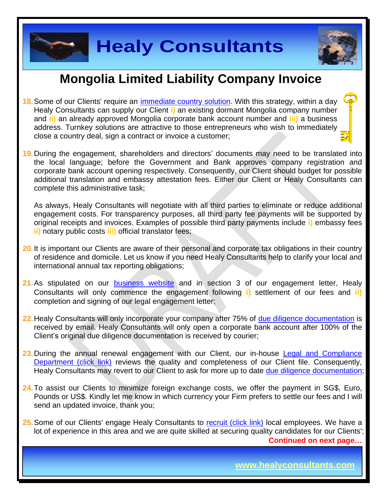



## **Mongolia Limited Liability Company Invoice**

- **18.**Some of our Clients' require an [immediate country solution.](http://www.healyconsultants.com/turnkey-solutions/) With this strategy, within a day Healy Consultants can supply our Client **i)** an existing dormant Mongolia company number and **ii)** an already approved Mongolia corporate bank account number and **iii)** a business address. Turnkey solutions are attractive to those entrepreneurs who wish to immediately close a country deal, sign a contract or invoice a customer;
- **19.** During the engagement, shareholders and directors' documents may need to be translated into the local language; before the Government and Bank approves company registration and corporate bank account opening respectively. Consequently, our Client should budget for possible additional translation and embassy attestation fees. Either our Client or Healy Consultants can complete this administrative task;

As always, Healy Consultants will negotiate with all third parties to eliminate or reduce additional engagement costs. For transparency purposes, all third party fee payments will be supported by original receipts and invoices. Examples of possible third party payments include **i)** embassy fees **ii)** notary public costs **iii)** official translator fees;

- **20.** It is important our Clients are aware of their personal and corporate tax obligations in their country of residence and domicile. Let us know if you need Healy Consultants help to clarify your local and international annual tax reporting obligations;
- **21.** As stipulated on our **[business website](http://www.healyconsultants.com/)** and in section 3 of our engagement letter, Healy Consultants will only commence the engagement following **i)** settlement of our fees and **ii)** completion and signing of our legal engagement letter;
- 22. Healy Consultants will only incorporate your company after 75% of [due diligence documentation](http://www.healyconsultants.com/due-diligence/) is received by email. Healy Consultants will only open a corporate bank account after 100% of the Client's original due diligence documentation is received by courier;
- **23.** During the annual renewal engagement with our Client, our in-house [Legal and Compliance](http://www.healyconsultants.com/about-us/key-personnel/cai-xin-profile/)  [Department \(click link\)](http://www.healyconsultants.com/about-us/key-personnel/cai-xin-profile/) reviews the quality and completeness of our Client file. Consequently, Healy Consultants may revert to our Client to ask for more up to date [due diligence documentation;](http://www.healyconsultants.com/due-diligence/)
- **24.** To assist our Clients to minimize foreign exchange costs, we offer the payment in SG\$, Euro, Pounds or US\$. Kindly let me know in which currency your Firm prefers to settle our fees and I will send an updated invoice, thank you;

**Continued on next page…** 25. Some of our Clients' engage Healy Consultants to [recruit \(click link\)](http://www.healyconsultants.com/corporate-outsourcing-services/how-we-help-our-clients-recruit-quality-employees/) local employees. We have a lot of experience in this area and we are quite skilled at securing quality candidates for our Clients';